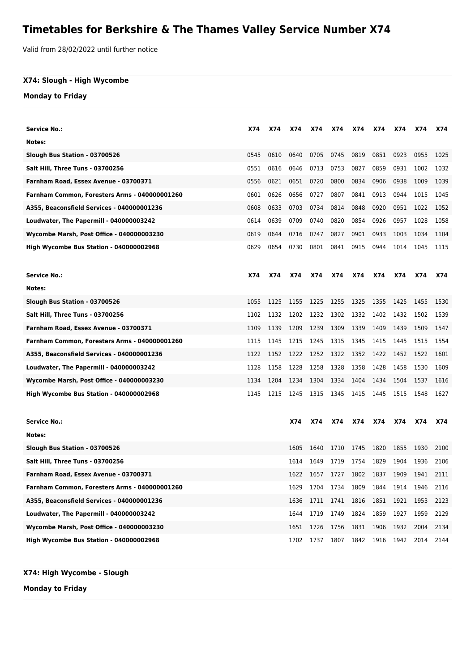## **Timetables for Berkshire & The Thames Valley Service Number X74**

Valid from 28/02/2022 until further notice

## **X74: Slough - High Wycombe**

## **Monday to Friday**

| <b>Service No.:</b>                           | X74        | X74  | X74  | X74        | X74       | X74  | X74                 | X74       | X74  | X74        |
|-----------------------------------------------|------------|------|------|------------|-----------|------|---------------------|-----------|------|------------|
| Notes:                                        |            |      |      |            |           |      |                     |           |      |            |
| Slough Bus Station - 03700526                 | 0545       | 0610 | 0640 | 0705       | 0745      | 0819 | 0851                | 0923      | 0955 | 1025       |
| Salt Hill, Three Tuns - 03700256              | 0551       | 0616 | 0646 | 0713       | 0753      | 0827 | 0859                | 0931      | 1002 | 1032       |
| Farnham Road, Essex Avenue - 03700371         | 0556       | 0621 | 0651 | 0720       | 0800      | 0834 | 0906                | 0938      | 1009 | 1039       |
| Farnham Common, Foresters Arms - 040000001260 | 0601       | 0626 | 0656 | 0727       | 0807      | 0841 | 0913                | 0944      | 1015 | 1045       |
| A355, Beaconsfield Services - 040000001236    | 0608       | 0633 | 0703 | 0734       | 0814      | 0848 | 0920                | 0951      | 1022 | 1052       |
| Loudwater, The Papermill - 040000003242       | 0614       | 0639 | 0709 | 0740       | 0820      | 0854 | 0926                | 0957      | 1028 | 1058       |
| Wycombe Marsh, Post Office - 040000003230     | 0619       | 0644 | 0716 | 0747       | 0827      | 0901 | 0933                | 1003      | 1034 | 1104       |
| High Wycombe Bus Station - 040000002968       | 0629       | 0654 | 0730 | 0801       | 0841      | 0915 | 0944                | 1014      | 1045 | 1115       |
|                                               |            |      |      |            |           |      |                     |           |      |            |
| <b>Service No.:</b>                           | <b>X74</b> | X74  | X74  | X74        | X74       | X74  | <b>X74</b>          | X74       | X74  | <b>X74</b> |
| Notes:                                        |            |      |      |            |           |      |                     |           |      |            |
| Slough Bus Station - 03700526                 | 1055       | 1125 | 1155 | 1225       | 1255      | 1325 | 1355                | 1425      | 1455 | 1530       |
| Salt Hill, Three Tuns - 03700256              | 1102       | 1132 | 1202 | 1232       | 1302      | 1332 | 1402                | 1432      | 1502 | 1539       |
| Farnham Road, Essex Avenue - 03700371         | 1109       | 1139 | 1209 | 1239       | 1309      | 1339 | 1409                | 1439      | 1509 | 1547       |
| Farnham Common, Foresters Arms - 040000001260 | 1115       | 1145 | 1215 | 1245       | 1315      | 1345 | 1415                | 1445      | 1515 | 1554       |
| A355, Beaconsfield Services - 040000001236    | 1122       | 1152 | 1222 | 1252       | 1322      | 1352 | 1422                | 1452      | 1522 | 1601       |
| Loudwater, The Papermill - 040000003242       | 1128       | 1158 | 1228 | 1258       | 1328      | 1358 | 1428                | 1458      | 1530 | 1609       |
| Wycombe Marsh, Post Office - 040000003230     | 1134       | 1204 | 1234 | 1304       | 1334      | 1404 | 1434                | 1504      | 1537 | 1616       |
| High Wycombe Bus Station - 040000002968       | 1145       | 1215 | 1245 | 1315       | 1345      | 1415 | 1445                | 1515      | 1548 | 1627       |
| <b>Service No.:</b>                           |            |      | X74  | <b>X74</b> | X74       | X74  | <b>X74</b>          | X74       | X74  | X74        |
| Notes:                                        |            |      |      |            |           |      |                     |           |      |            |
| Slough Bus Station - 03700526                 |            |      | 1605 | 1640       | 1710      | 1745 | 1820                | 1855      | 1930 | 2100       |
| Salt Hill, Three Tuns - 03700256              |            |      | 1614 | 1649       | 1719      | 1754 | 1829                | 1904      | 1936 | 2106       |
| Farnham Road, Essex Avenue - 03700371         |            |      | 1622 | 1657       | 1727      | 1802 | 1837                | 1909      | 1941 | 2111       |
| Farnham Common, Foresters Arms - 040000001260 |            |      | 1629 | 1704       | 1734 1809 |      | 1844                | 1914 1946 |      | 2116       |
| A355, Beaconsfield Services - 040000001236    |            |      | 1636 | 1711       | 1741      | 1816 | 1851                | 1921      | 1953 | 2123       |
| Loudwater, The Papermill - 040000003242       |            |      | 1644 | 1719       | 1749      | 1824 | 1859                | 1927      | 1959 | 2129       |
| Wycombe Marsh, Post Office - 040000003230     |            |      | 1651 | 1726       | 1756      | 1831 | 1906                | 1932      | 2004 | 2134       |
| High Wycombe Bus Station - 040000002968       |            |      | 1702 | 1737       |           |      | 1807 1842 1916 1942 |           | 2014 | 2144       |

**Monday to Friday**